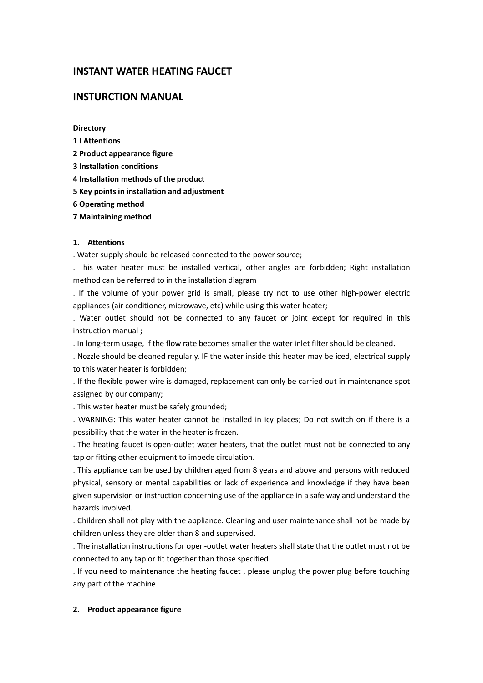# **INSTANT WATER HEATING FAUCET**

# **INSTURCTION MANUAL**

**Directory**

- **1 I Attentions**
- **2 Product appearance figure**
- **3 Installation conditions**
- **4 Installation methods of the product**
- **5 Key points in installation and adjustment**
- **6 Operating method**
- **7 Maintaining method**

#### **1. Attentions**

. Water supply should be released connected to the power source;

. This water heater must be installed vertical, other angles are forbidden; Right installation method can be referred to in the installation diagram

. If the volume of your power grid is small, please try not to use other high-power electric appliances (air conditioner, microwave, etc) while using this water heater;

. Water outlet should not be connected to any faucet or joint except for required in this instruction manual ;

. In long-term usage, if the flow rate becomes smaller the water inlet filter should be cleaned.

. Nozzle should be cleaned regularly. IF the water inside this heater may be iced, electrical supply to this water heater is forbidden;

. If the flexible power wire is damaged, replacement can only be carried out in maintenance spot assigned by our company;

. This water heater must be safely grounded;

. WARNING: This water heater cannot be installed in icy places; Do not switch on if there is a possibility that the water in the heater is frozen.

. The heating faucet is open-outlet water heaters, that the outlet must not be connected to any tap or fitting other equipment to impede circulation.

. This appliance can be used by children aged from 8 years and above and persons with reduced physical, sensory or mental capabilities or lack of experience and knowledge if they have been given supervision or instruction concerning use of the appliance in a safe way and understand the hazards involved.

. Children shall not play with the appliance. Cleaning and user maintenance shall not be made by children unless they are older than 8 and supervised.

. The installation instructions for open-outlet water heaters shall state that the outlet must not be connected to any tap or fit together than those specified.

. If you need to maintenance the heating faucet , please unplug the power plug before touching any part of the machine.

#### **2. Product appearance figure**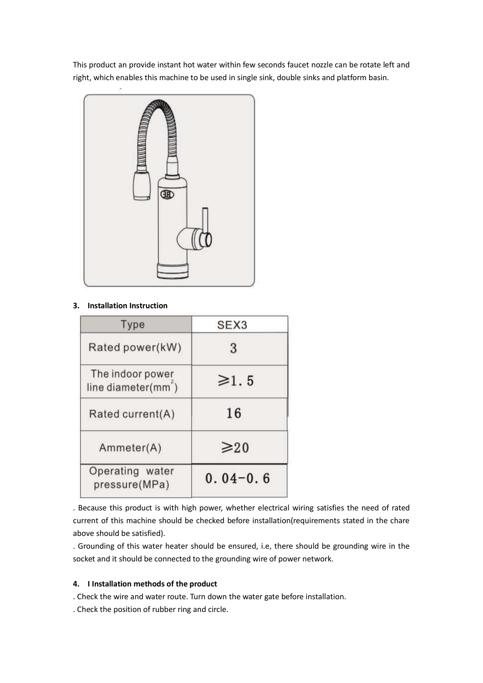This product an provide instant hot water within few seconds faucet nozzle can be rotate left and right, which enables this machine to be used in single sink, double sinks and platform basin.



# **3. Installation Instruction**

| Type                                                | SEX <sub>3</sub> |
|-----------------------------------------------------|------------------|
| Rated power(kW)                                     | 3                |
| The indoor power<br>line diameter(mm <sup>2</sup> ) | $\geq 1.5$       |
| Rated current(A)                                    | 16               |
| Ammeter(A)                                          | $\geq 20$        |
| Operating water<br>pressure(MPa)                    | $0.04 - 0.6$     |

. Because this product is with high power, whether electrical wiring satisfies the need of rated current of this machine should be checked before installation(requirements stated in the chare above should be satisfied).

. Grounding of this water heater should be ensured, i.e, there should be grounding wire in the socket and it should be connected to the grounding wire of power network.

## **4. I Installation methods of the product**

. Check the wire and water route. Turn down the water gate before installation.

. Check the position of rubber ring and circle.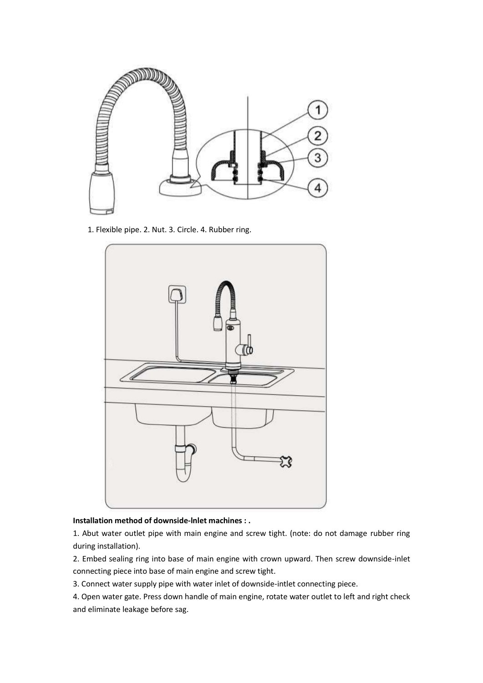

1. Flexible pipe. 2. Nut. 3. Circle. 4. Rubber ring.



## **Installation method of downside-lnlet machines : .**

1. Abut water outlet pipe with main engine and screw tight. (note: do not damage rubber ring during installation).

2. Embed sealing ring into base of main engine with crown upward. Then screw downside-inlet connecting piece into base of main engine and screw tight.

3. Connect water supply pipe with water inlet of downside-intlet connecting piece.

4. Open water gate. Press down handle of main engine, rotate water outlet to left and right check and eliminate leakage before sag.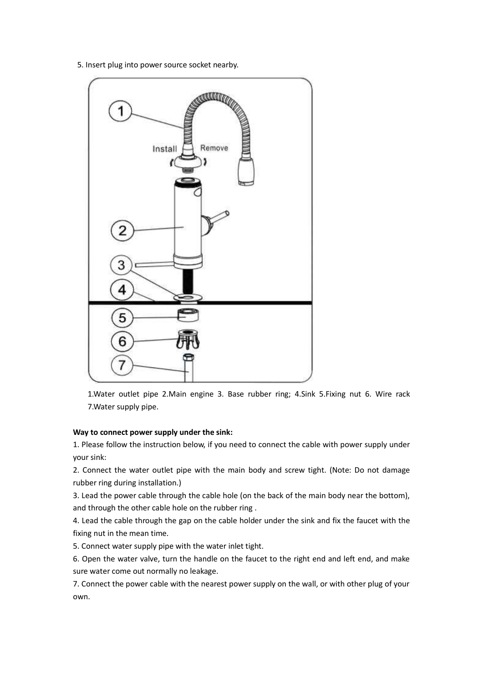5. Insert plug into power source socket nearby.



1.Water outlet pipe 2.Main engine 3. Base rubber ring; 4.Sink 5.Fixing nut 6. Wire rack 7.Water supply pipe.

## **Way to connect power supply under the sink:**

1. Please follow the instruction below, if you need to connect the cable with power supply under your sink:

2. Connect the water outlet pipe with the main body and screw tight. (Note: Do not damage rubber ring during installation.)

3. Lead the power cable through the cable hole (on the back of the main body near the bottom), and through the other cable hole on the rubber ring .

4. Lead the cable through the gap on the cable holder under the sink and fix the faucet with the fixing nut in the mean time.

5. Connect water supply pipe with the water inlet tight.

6. Open the water valve, turn the handle on the faucet to the right end and left end, and make sure water come out normally no leakage.

7. Connect the power cable with the nearest power supply on the wall, or with other plug of your own.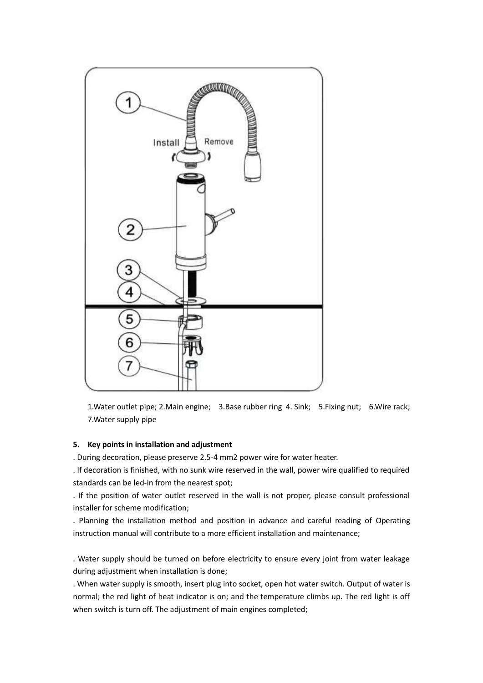

1.Water outlet pipe; 2.Main engine; 3.Base rubber ring 4. Sink; 5.Fixing nut; 6.Wire rack; 7.Water supply pipe

## **5. Key points in installation and adjustment**

. During decoration, please preserve 2.5-4 mm2 power wire for water heater.

. If decoration is finished, with no sunk wire reserved in the wall, power wire qualified to required standards can be led-in from the nearest spot;

. If the position of water outlet reserved in the wall is not proper, please consult professional installer for scheme modification;

. Planning the installation method and position in advance and careful reading of Operating instruction manual will contribute to a more efficient installation and maintenance;

. Water supply should be turned on before electricity to ensure every joint from water leakage during adjustment when installation is done;

. When water supply is smooth, insert plug into socket, open hot water switch. Output of water is normal; the red light of heat indicator is on; and the temperature climbs up. The red light is off when switch is turn off. The adjustment of main engines completed;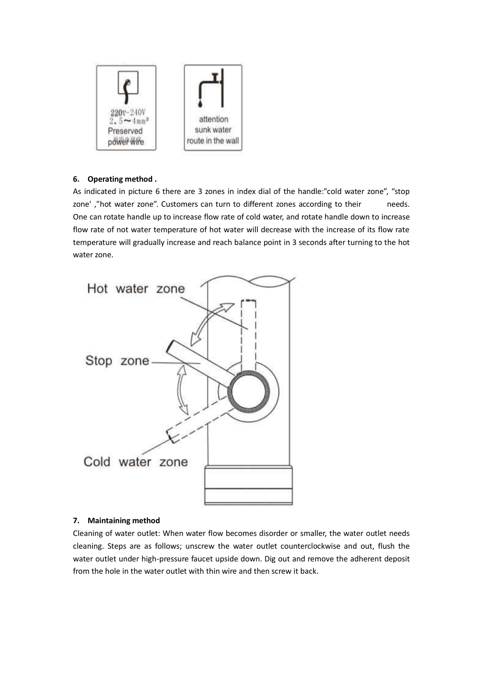

# **6. Operating method .**

As indicated in picture 6 there are 3 zones in index dial of the handle:"cold water zone", "stop zone',"hot water zone". Customers can turn to different zones according to their needs. One can rotate handle up to increase flow rate of cold water, and rotate handle down to increase flow rate of not water temperature of hot water will decrease with the increase of its flow rate temperature will gradually increase and reach balance point in 3 seconds after turning to the hot water zone.



## **7. Maintaining method**

Cleaning of water outlet: When water flow becomes disorder or smaller, the water outlet needs cleaning. Steps are as follows; unscrew the water outlet counterclockwise and out, flush the water outlet under high-pressure faucet upside down. Dig out and remove the adherent deposit from the hole in the water outlet with thin wire and then screw it back.